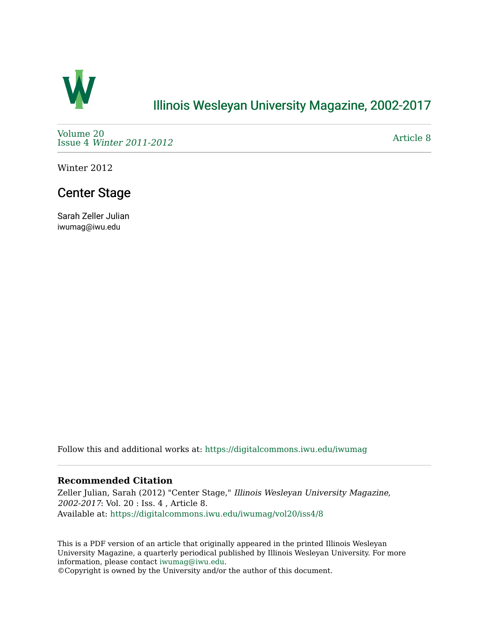

### [Illinois Wesleyan University Magazine, 2002-2017](https://digitalcommons.iwu.edu/iwumag)

[Volume 20](https://digitalcommons.iwu.edu/iwumag/vol20)  Issue 4 [Winter 2011-2012](https://digitalcommons.iwu.edu/iwumag/vol20/iss4)

[Article 8](https://digitalcommons.iwu.edu/iwumag/vol20/iss4/8) 

Winter 2012

## Center Stage

Sarah Zeller Julian iwumag@iwu.edu

Follow this and additional works at: [https://digitalcommons.iwu.edu/iwumag](https://digitalcommons.iwu.edu/iwumag?utm_source=digitalcommons.iwu.edu%2Fiwumag%2Fvol20%2Fiss4%2F8&utm_medium=PDF&utm_campaign=PDFCoverPages) 

#### **Recommended Citation**

Zeller Julian, Sarah (2012) "Center Stage," Illinois Wesleyan University Magazine, 2002-2017: Vol. 20 : Iss. 4 , Article 8. Available at: [https://digitalcommons.iwu.edu/iwumag/vol20/iss4/8](https://digitalcommons.iwu.edu/iwumag/vol20/iss4/8?utm_source=digitalcommons.iwu.edu%2Fiwumag%2Fvol20%2Fiss4%2F8&utm_medium=PDF&utm_campaign=PDFCoverPages)

This is a PDF version of an article that originally appeared in the printed Illinois Wesleyan University Magazine, a quarterly periodical published by Illinois Wesleyan University. For more information, please contact [iwumag@iwu.edu](mailto:iwumag@iwu.edu).

©Copyright is owned by the University and/or the author of this document.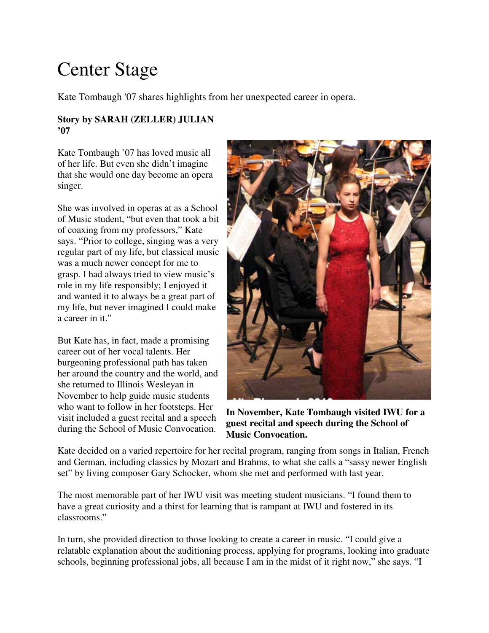# Center Stage

Kate Tombaugh '07 shares highlights from her unexpected career in opera.

#### **Story by SARAH (ZELLER) JULIAN '07**

Kate Tombaugh '07 has loved music all of her life. But even she didn't imagine that she would one day become an opera singer.

She was involved in operas at as a School of Music student, "but even that took a bit of coaxing from my professors," Kate says. "Prior to college, singing was a very regular part of my life, but classical music was a much newer concept for me to grasp. I had always tried to view music's role in my life responsibly; I enjoyed it and wanted it to always be a great part of my life, but never imagined I could make a career in it."

But Kate has, in fact, made a promising career out of her vocal talents. Her burgeoning professional path has taken her around the country and the world, and she returned to Illinois Wesleyan in November to help guide music students who want to follow in her footsteps. Her visit included a guest recital and a speech during the School of Music Convocation.



**In November, Kate Tombaugh visited IWU for a guest recital and speech during the School of Music Convocation.**

Kate decided on a varied repertoire for her recital program, ranging from songs in Italian, French and German, including classics by Mozart and Brahms, to what she calls a "sassy newer English set" by living composer Gary Schocker, whom she met and performed with last year.

The most memorable part of her IWU visit was meeting student musicians. "I found them to have a great curiosity and a thirst for learning that is rampant at IWU and fostered in its classrooms."

In turn, she provided direction to those looking to create a career in music. "I could give a relatable explanation about the auditioning process, applying for programs, looking into graduate schools, beginning professional jobs, all because I am in the midst of it right now," she says. "I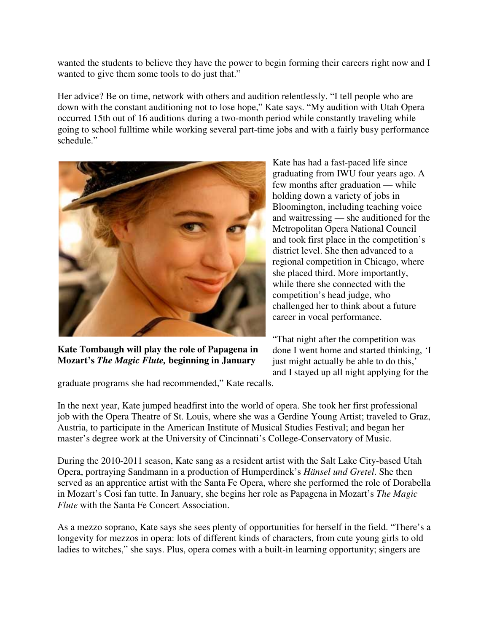wanted the students to believe they have the power to begin forming their careers right now and I wanted to give them some tools to do just that."

Her advice? Be on time, network with others and audition relentlessly. "I tell people who are down with the constant auditioning not to lose hope," Kate says. "My audition with Utah Opera occurred 15th out of 16 auditions during a two-month period while constantly traveling while going to school fulltime while working several part-time jobs and with a fairly busy performance schedule."



**Kate Tombaugh will play the role of Papagena in Mozart's** *The Magic Flute,* **beginning in January**

Kate has had a fast-paced life since graduating from IWU four years ago. A few months after graduation — while holding down a variety of jobs in Bloomington, including teaching voice and waitressing — she auditioned for the Metropolitan Opera National Council and took first place in the competition's district level. She then advanced to a regional competition in Chicago, where she placed third. More importantly, while there she connected with the competition's head judge, who challenged her to think about a future career in vocal performance.

"That night after the competition was done I went home and started thinking, 'I just might actually be able to do this,' and I stayed up all night applying for the

graduate programs she had recommended," Kate recalls.

In the next year, Kate jumped headfirst into the world of opera. She took her first professional job with the Opera Theatre of St. Louis, where she was a Gerdine Young Artist; traveled to Graz, Austria, to participate in the American Institute of Musical Studies Festival; and began her master's degree work at the University of Cincinnati's College-Conservatory of Music.

During the 2010-2011 season, Kate sang as a resident artist with the Salt Lake City-based Utah Opera, portraying Sandmann in a production of Humperdinck's *Hänsel und Gretel*. She then served as an apprentice artist with the Santa Fe Opera, where she performed the role of Dorabella in Mozart's Cosi fan tutte. In January, she begins her role as Papagena in Mozart's *The Magic Flute* with the Santa Fe Concert Association.

As a mezzo soprano, Kate says she sees plenty of opportunities for herself in the field. "There's a longevity for mezzos in opera: lots of different kinds of characters, from cute young girls to old ladies to witches," she says. Plus, opera comes with a built-in learning opportunity; singers are